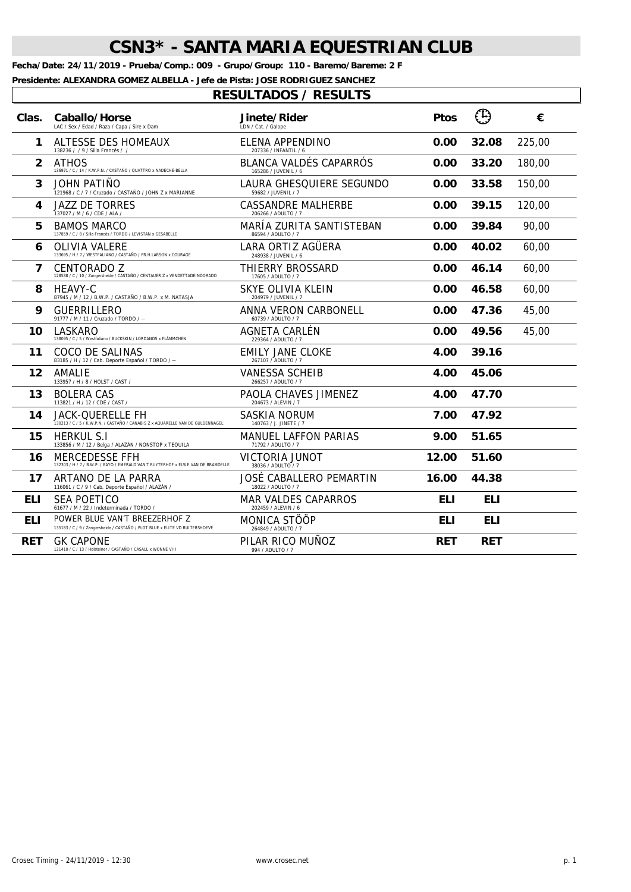**Fecha/Date: 24/11/2019 - Prueba/Comp.: 009 - Grupo/Group: 110 - Baremo/Bareme: 2 F**

**Presidente: ALEXANDRA GOMEZ ALBELLA - Jefe de Pista: JOSE RODRIGUEZ SANCHEZ**

| Clas.        | Caballo/Horse<br>LAC / Sex / Edad / Raza / Capa / Sire x Dam                                                 | Jinete/Rider<br>LDN / Cat. / Galope               | <b>Ptos</b> | $\bigcirc$ | €      |
|--------------|--------------------------------------------------------------------------------------------------------------|---------------------------------------------------|-------------|------------|--------|
| 1            | ALTESSE DES HOMEAUX<br>138236 / / 9 / Silla Francés / /                                                      | ELENA APPENDINO<br>207336 / INFANTIL / 6          | 0.00        | 32.08      | 225,00 |
| $\mathbf{2}$ | <b>ATHOS</b><br>136971 / C / 14 / K.W.P.N. / CASTAÑO / QUATTRO x NADECHE-BELLA                               | BLANCA VALDÉS CAPARRÓS<br>165286 / JUVENIL / 6    | 0.00        | 33.20      | 180,00 |
| 3            | JOHN PATIÑO<br>121968 / C / 7 / Cruzado / CASTAÑO / JOHN Z x MARIANNE                                        | LAURA GHESQUIERE SEGUNDO<br>59682 / JUVENIL / 7   | 0.00        | 33.58      | 150,00 |
| 4            | <b>JAZZ DE TORRES</b><br>137027 / M / 6 / CDE / ALA /                                                        | <b>CASSANDRE MALHERBE</b><br>206266 / ADULTO / 7  | 0.00        | 39.15      | 120,00 |
| 5            | <b>BAMOS MARCO</b><br>137859 / C / 8 / Silla Francés / TORDO / LEVISTAN x GESABELLE                          | MARÍA ZURITA SANTISTEBAN<br>86594 / ADULTO / 7    | 0.00        | 39.84      | 90,00  |
| 6            | OLIVIA VALERE<br>133695 / H / 7 / WESTFALIANO / CASTAÑO / PR.H.LARSON x COURAGE                              | LARA ORTIZ AGÜERA<br>248938 / JUVENIL / 6         | 0.00        | 40.02      | 60,00  |
| 7            | CENTORADO Z<br>128588 / C / 10 / Zangersheide / CASTAÑO / CENTAUER Z x VENDETTADEINDORADO                    | THIERRY BROSSARD<br>17605 / ADULTO / 7            | 0.00        | 46.14      | 60,00  |
| 8            | <b>HEAVY-C</b><br>87945 / M / 12 / B.W.P. / CASTAÑO / B.W.P. x M. NATASJA                                    | SKYE OLIVIA KLEIN<br>204979 / JUVENIL / 7         | 0.00        | 46.58      | 60,00  |
| 9            | <b>GUERRILLERO</b><br>91777 / M / 11 / Cruzado / TORDO / --                                                  | ANNA VERON CARBONELL<br>60739 / ADULTO / 7        | 0.00        | 47.36      | 45,00  |
| 10           | LASKARO<br>138095 / C / 5 / Westfaliano / BUCKSKIN / LORDANOS x FLÄMMCHEN                                    | AGNETA CARLÉN<br>229364 / ADULTO / 7              | 0.00        | 49.56      | 45,00  |
| 11           | COCO DE SALINAS<br>83185 / H / 12 / Cab. Deporte Español / TORDO / --                                        | EMILY JANE CLOKE<br>267107 / ADULTO / 7           | 4.00        | 39.16      |        |
| 12           | AMALIE<br>133957 / H / 8 / HOLST / CAST /                                                                    | <b>VANESSA SCHEIB</b><br>266257 / ADULTO / 7      | 4.00        | 45.06      |        |
| 13           | <b>BOLERA CAS</b><br>113821 / H / 12 / CDE / CAST /                                                          | PAOLA CHAVES JIMENEZ<br>204673 / ALEVIN / 7       | 4.00        | 47.70      |        |
| 14           | <b>JACK-QUERELLE FH</b><br>130213 / C / 5 / K.W.P.N. / CASTAÑO / CANABIS Z x AQUARELLE VAN DE GULDENNAGEL    | SASKIA NORUM<br>140763 / J. JINETE / 7            | 7.00        | 47.92      |        |
| 15           | <b>HERKUL S.I</b><br>133856 / M / 12 / Belga / ALAZÁN / NONSTOP x TEQUILA                                    | MANUEL LAFFON PARIAS<br>71792 / ADULTO / 7        | 9.00        | 51.65      |        |
| 16           | MERCEDESSE FFH<br>132303 / H / 7 / B.W.P. / BAYO / EMERALD VAN'T RUYTERHOF x ELSIE VAN DE BRAMDELLE          | VICTORIA JUNOT<br>38036 / ADULTO / 7              | 12.00       | 51.60      |        |
| 17           | ARTANO DE LA PARRA<br>116061 / C / 9 / Cab. Deporte Español / ALAZÁN /                                       | JOSÉ CABALLERO PEMARTIN<br>18022 / ADULTO / 7     | 16.00       | 44.38      |        |
| <b>ELI</b>   | SEA POETICO<br>61677 / M / 22 / Indeterminada / TORDO /                                                      | <b>MAR VALDES CAPARROS</b><br>202459 / ALEVIN / 6 | ELI         | ELI        |        |
| ELI          | POWER BLUE VAN'T BREEZERHOF Z<br>135183 / C / 9 / Zangersheide / CASTAÑO / PLOT BLUE x ELITE VD RUITERSHOEVE | MONICA STÖÖP<br>264849 / ADULTO / 7               | ELI         | ELI        |        |
| <b>RET</b>   | <b>GK CAPONE</b><br>121410 / C / 13 / Holsteiner / CASTAÑO / CASALL x WONNE VIII                             | PILAR RICO MUÑOZ<br>994 / ADULTO / 7              | <b>RET</b>  | <b>RET</b> |        |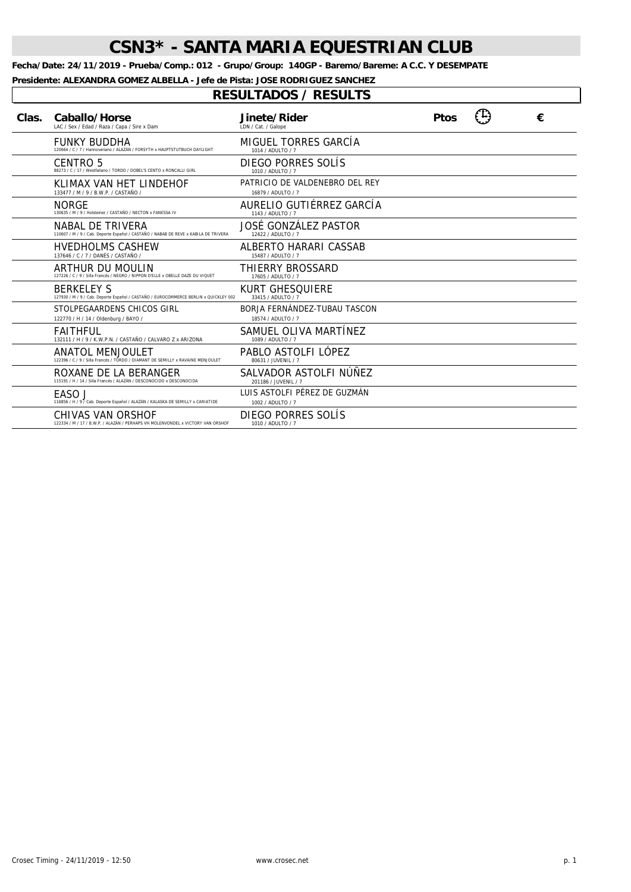**Fecha/Date: 24/11/2019 - Prueba/Comp.: 012 - Grupo/Group: 140GP - Baremo/Bareme: A C.C. Y DESEMPATE**

**Presidente: ALEXANDRA GOMEZ ALBELLA - Jefe de Pista: JOSE RODRIGUEZ SANCHEZ**

| Clas. | Caballo/Horse<br>LAC / Sex / Edad / Raza / Capa / Sire x Dam                                              | Jinete/Rider<br>LDN / Cat. / Galope                  | <b>Ptos</b> | € |
|-------|-----------------------------------------------------------------------------------------------------------|------------------------------------------------------|-------------|---|
|       | <b>FUNKY BUDDHA</b><br>120664 / C / 7 / Hannoveriano / ALAZÁN / FORSYTH x HAUPTSTUTBUCH DAYLIGHT          | MIGUEL TORRES GARCÍA<br>1014 / ADULTO / 7            |             |   |
|       | CENTRO 5<br>88273 / C / 17 / Westfaliano / TORDO / DOBEL'S CENTO x RONCALLI GIRL                          | DIEGO PORRES SOLIS<br>1010 / ADULTO / 7              |             |   |
|       | KLIMAX VAN HET LINDEHOF<br>133477 / M / 9 / B.W.P. / CASTAÑO /                                            | PATRICIO DE VALDENEBRO DEL REY<br>16879 / ADULTO / 7 |             |   |
|       | <b>NORGE</b><br>130635 / M / 9 / Holsteiner / CASTAÑO / NECTON x FANESSA IV                               | AURELIO GUTIÉRREZ GARCÍA<br>1143 / ADULTO / 7        |             |   |
|       | NABAL DE TRIVERA<br>110607 / M / 9 / Cab. Deporte Español / CASTAÑO / NABAB DE REVE x KABILA DE TRIVERA   | JOSÉ GONZÁLEZ PASTOR<br>12422 / ADULTO / 7           |             |   |
|       | <b>HVEDHOLMS CASHEW</b><br>137646 / C / 7 / DANÉS / CASTAÑO /                                             | ALBERTO HARARI CASSAB<br>15487 / ADULTO / 7          |             |   |
|       | ARTHUR DU MOULIN<br>127226 / C / 9 / Silla Francés / NEGRO / NIPPON D'ELLE x OBELLE DAZE DU VIQUET        | THIERRY BROSSARD<br>17605 / ADULTO / 7               |             |   |
|       | <b>BERKELEY S</b><br>127930 / M / 9 / Cab. Deporte Español / CASTAÑO / EUROCOMMERCE BERLIN x QUICKLEY 002 | <b>KURT GHESQUIERE</b><br>33415 / ADULTO / 7         |             |   |
|       | STOLPEGAARDENS CHICOS GIRL<br>122770 / H / 14 / Oldenburg / BAYO /                                        | BORJA FERNÁNDEZ-TUBAU TASCON<br>18574 / ADULTO / 7   |             |   |
|       | <b>FAITHFUL</b><br>132111 / H / 9 / K.W.P.N. / CASTAÑO / CALVARO Z x ARIZONA                              | SAMUEL OLIVA MARTÍNEZ<br>1089 / ADULTO / 7           |             |   |
|       | ANATOL MENJOULET<br>122396 / C / 9 / Silla Francés / TORDO / DIAMANT DE SEMILLY x RAVAINE MENJOULET       | PABLO ASTOLFI LÓPEZ<br>80631 / JUVENIL / 7           |             |   |
|       | ROXANE DE LA BERANGER<br>115191 / H / 14 / Silla Francés / ALAZÁN / DESCONOCIDO x DESCONOCIDA             | SALVADOR ASTOLFI NÚÑEZ<br>201186 / JUVENIL / 7       |             |   |
|       | EASO J<br>116856 / H / 9 / Cab. Deporte Español / ALAZÁN / KALASKA DE SEMILLY x CARIATIDE                 | LUIS ASTOLFI PÉREZ DE GUZMÁN<br>1002 / ADULTO / 7    |             |   |
|       | CHIVAS VAN ORSHOF<br>122334 / M / 17 / B.W.P. / ALAZÁN / PERHAPS VH MOLENVONDEL x VICTORY VAN ORSHOP      | DIEGO PORRES SOLÍS<br>1010 / ADULTO / 7              |             |   |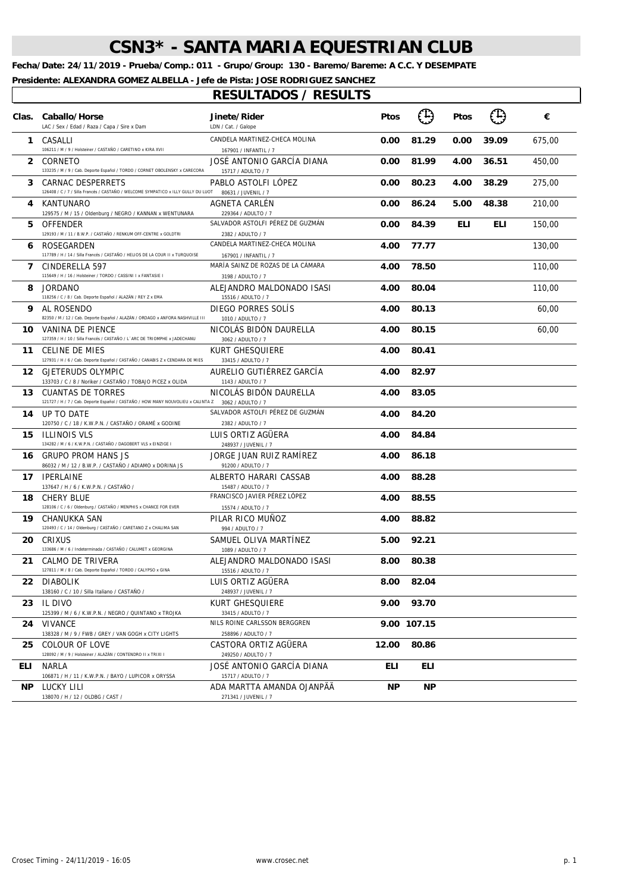**Fecha/Date: 24/11/2019 - Prueba/Comp.: 011 - Grupo/Group: 130 - Baremo/Bareme: A C.C. Y DESEMPATE**

**Presidente: ALEXANDRA GOMEZ ALBELLA - Jefe de Pista: JOSE RODRIGUEZ SANCHEZ**

 $\sqrt{2}$ 

|              | Clas. Caballo/Horse<br>LAC / Sex / Edad / Raza / Capa / Sire x Dam                                      | Jinete/Rider<br>LDN / Cat. / Galope                    | <b>Ptos</b> | (1)         | Ptos       | $(\mathbb{T})$ | €      |
|--------------|---------------------------------------------------------------------------------------------------------|--------------------------------------------------------|-------------|-------------|------------|----------------|--------|
|              | 1 CASALLI<br>106211 / M / 9 / Holsteiner / CASTAÑO / CARETINO x KIRA XVII                               | CANDELA MARTINEZ-CHECA MOLINA<br>167901 / INFANTIL / 7 | 0.00        | 81.29       | 0.00       | 39.09          | 675,00 |
| $\mathbf{2}$ | CORNETO<br>133235 / M / 9 / Cab. Deporte Español / TORDO / CORNET OBOLENSKY x CARECORA                  | JOSÉ ANTONIO GARCÍA DIANA<br>15717 / ADULTO / 7        | 0.00        | 81.99       | 4.00       | 36.51          | 450,00 |
| 3            | CARNAC DESPERRETS<br>126408 / C / 7 / Silla Francés / CASTAÑO / WELCOME SYMPATICO x ILLY GULLY DU LUOT  | PABLO ASTOLFI LOPEZ<br>80631 / JUVENIL / 7             | 0.00        | 80.23       | 4.00       | 38.29          | 275,00 |
| 4            | KANTUNARO<br>129575 / M / 15 / Oldenburg / NEGRO / KANNAN x WENTUNARA                                   | AGNETA CARLEN<br>229364 / ADULTO / 7                   | 0.00        | 86.24       | 5.00       | 48.38          | 210,00 |
| 5.           | OFFENDER<br>129193 / M / 11 / B.W.P. / CASTAÑO / RENKUM OFF-CENTRE x GOLDTRI                            | SALVADOR ASTOLFI PÉREZ DE GUZMÁN<br>2382 / ADULTO / 7  | 0.00        | 84.39       | <b>ELI</b> | ELI            | 150,00 |
| 6            | ROSEGARDEN<br>117789 / H / 14 / Silla Francés / CASTAÑO / HELIOS DE LA COUR II x TURQUOISE              | CANDELA MARTINEZ-CHECA MOLINA<br>167901 / INFANTIL / 7 | 4.00        | 77.77       |            |                | 130,00 |
| 7            | CINDERELLA 597<br>115649 / H / 16 / Holsteiner / TORDO / CASSINI I x FANTASIE I                         | MARÍA SAINZ DE ROZAS DE LA CÁMARA<br>3198 / ADULTO / 7 | 4.00        | 78.50       |            |                | 110,00 |
| 8            | <b>JORDANO</b><br>118256 / C / 8 / Cab. Deporte Español / ALAZÁN / REY Z x EMA                          | ALEJANDRO MALDONADO ISASI<br>15516 / ADULTO / 7        | 4.00        | 80.04       |            |                | 110,00 |
| 9            | AL ROSENDO<br>82350 / M / 12 / Cab. Deporte Español / ALAZÁN / ORDAGO x ANFORA NASHVILLE III            | DIEGO PORRES SOLIS<br>1010 / ADULTO / 7                | 4.00        | 80.13       |            |                | 60,00  |
|              | <b>10</b> VANINA DE PIENCE<br>127359 / H / 10 / Silla Francés / CASTAÑO / L'ARC DE TRIOMPHE x JADECHANU | NICOLAS BIDON DAURELLA<br>3062 / ADULTO / 7            | 4.00        | 80.15       |            |                | 60,00  |
| 11           | <b>CELINE DE MIES</b><br>127931 / H / 6 / Cab. Deporte Español / CASTAÑO / CANABIS Z x CENDARA DE MIES  | KURT GHESQUIERE<br>33415 / ADULTO / 7                  | 4.00        | 80.41       |            |                |        |
| 12           | GJETERUDS OLYMPIC<br>133703 / C / 8 / Noriker / CASTAÑO / TOBAJO PICEZ x OLIDA                          | AURELIO GUTIÉRREZ GARCÍA<br>1143 / ADULTO / 7          | 4.00        | 82.97       |            |                |        |
| 13.          | CUANTAS DE TORRES<br>121727 / H / 7 / Cab. Deporte Español / CASTAÑO / HOW MANY NOUVOLIEU x CALINTA Z   | NICOLAS BIDON DAURELLA<br>3062 / ADULTO / 7            | 4.00        | 83.05       |            |                |        |
| 14           | UP TO DATE<br>120750 / C / 18 / K.W.P.N. / CASTAÑO / ORAMÉ x GODINE                                     | SALVADOR ASTOLFI PÉREZ DE GUZMÁN<br>2382 / ADULTO / 7  | 4.00        | 84.20       |            |                |        |
| 15           | <b>ILLINOIS VLS</b><br>134282 / M / 6 / K.W.P.N. / CASTAÑO / DAGOBERT VLS x EINZIGE I                   | LUIS ORTIZ AGUERA<br>248937 / JUVENIL / 7              | 4.00        | 84.84       |            |                |        |
| 16           | <b>GRUPO PROM HANS JS</b><br>86032 / M / 12 / B.W.P. / CASTAÑO / ADIAMO x DORINA JS                     | JORGE JUAN RUIZ RAMÍREZ<br>91200 / ADULTO / 7          | 4.00        | 86.18       |            |                |        |
| 17           | <b>IPERLAINE</b><br>137647 / H / 6 / K.W.P.N. / CASTAÑO /                                               | ALBERTO HARARI CASSAB<br>15487 / ADULTO / 7            | 4.00        | 88.28       |            |                |        |
| 18.          | <b>CHERY BLUE</b><br>128106 / C / 6 / Oldenburg / CASTAÑO / MENPHIS x CHANCE FOR EVER                   | FRANCISCO JAVIER PÉREZ LÓPEZ<br>15574 / ADULTO / 7     | 4.00        | 88.55       |            |                |        |
| 19.          | CHANUKKA SAN<br>120493 / C / 14 / Oldenburg / CASTAÑO / CARETANO Z x CHALIMA SAN                        | PILAR RICO MUNOZ<br>994 / ADULTO / 7                   | 4.00        | 88.82       |            |                |        |
| 20           | CRIXUS<br>133686 / M / 6 / Indeterminada / CASTAÑO / CALUMET x GEORGINA                                 | SAMUEL OLIVA MARTÍNEZ<br>1089 / ADULTO / 7             | 5.00        | 92.21       |            |                |        |
| 21           | CALMO DE TRIVERA<br>127811 / M / 8 / Cab. Deporte Español / TORDO / CALYPSO x GINA                      | ALEJANDRO MALDONADO ISASI<br>15516 / ADULTO / 7        | 8.00        | 80.38       |            |                |        |
|              | 22 DIABOLIK<br>138160 / C / 10 / Silla Italiano / CASTAÑO /                                             | LUIS ORTIZ AGÜERA<br>248937 / JUVENIL / 7              | 8.00        | 82.04       |            |                |        |
|              | 23 IL DIVO<br>125399 / M / 6 / K.W.P.N. / NEGRO / QUINTANO x TROJKA                                     | KURT GHESQUIERE<br>33415 / ADULTO / 7                  | 9.00        | 93.70       |            |                |        |
| 24           | VIVANCE<br>138328 / M / 9 / FWB / GREY / VAN GOGH x CITY LIGHTS                                         | NILS ROINE CARLSSON BERGGREN<br>258896 / ADULTO / 7    |             | 9.00 107.15 |            |                |        |
| 25.          | COLOUR OF LOVE<br>128092 / M / 9 / Holsteiner / ALAZÁN / CONTENDRO II x TRIXI I                         | CASTORA ORTIZ AGÜERA<br>249250 / ADULTO / 7            | 12.00       | 80.86       |            |                |        |
| ELI.         | NARLA<br>106871 / H / 11 / K.W.P.N. / BAYO / LUPICOR x ORYSSA                                           | JOSÉ ANTONIO GARCÍA DIANA<br>15717 / ADULTO / 7        | ELI         | ELI.        |            |                |        |
| NP.          | LUCKY LILI<br>138070 / H / 12 / OLDBG / CAST /                                                          | ADA MARTTA AMANDA OJANPÄÄ<br>271341 / JUVENIL / 7      | ΝP          | ΝP          |            |                |        |